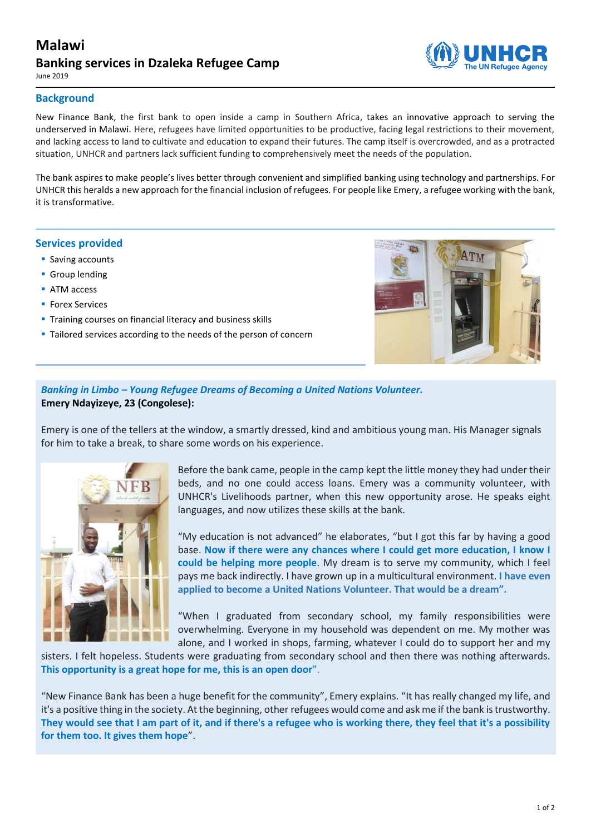# **Malawi Banking services in Dzaleka Refugee Camp**

June 2019

#### **Background**

New Finance Bank, the first bank to open inside a camp in Southern Africa, takes an innovative approach to serving the underserved in Malawi. Here, refugees have limited opportunities to be productive, facing legal restrictions to their movement, and lacking access to land to cultivate and education to expand their futures. The camp itself is overcrowded, and as a protracted situation, UNHCR and partners lack sufficient funding to comprehensively meet the needs of the population.

The bank aspires to make people's lives better through convenient and simplified banking using technology and partnerships. For UNHCR this heralds a new approach for the financial inclusion of refugees. For people like Emery, a refugee working with the bank, it is transformative.

#### **Services provided**

- **Saving accounts**
- **Group lending**
- **ATM** access
- **Forex Services**
- **Training courses on financial literacy and business skills**
- **Tailored services according to the needs of the person of concern**



## *Banking in Limbo – Young Refugee Dreams of Becoming a United Nations Volunteer.* **Emery Ndayizeye, 23 (Congolese):**

Emery is one of the tellers at the window, a smartly dressed, kind and ambitious young man. His Manager signals for him to take a break, to share some words on his experience.



Before the bank came, people in the camp kept the little money they had under their beds, and no one could access loans. Emery was a community volunteer, with UNHCR's Livelihoods partner, when this new opportunity arose. He speaks eight languages, and now utilizes these skills at the bank.

"My education is not advanced" he elaborates, "but I got this far by having a good base. **Now if there were any chances where I could get more education, I know I could be helping more people**. My dream is to serve my community, which I feel pays me back indirectly. I have grown up in a multicultural environment. **I have even applied to become a United Nations Volunteer. That would be a dream".**

"When I graduated from secondary school, my family responsibilities were overwhelming. Everyone in my household was dependent on me. My mother was alone, and I worked in shops, farming, whatever I could do to support her and my

sisters. I felt hopeless. Students were graduating from secondary school and then there was nothing afterwards. **This opportunity is a great hope for me, this is an open door**".

"New Finance Bank has been a huge benefit for the community", Emery explains. "It has really changed my life, and it's a positive thing in the society. At the beginning, other refugees would come and ask me if the bank is trustworthy. **They would see that I am part of it, and if there's a refugee who is working there, they feel that it's a possibility for them too. It gives them hope**".